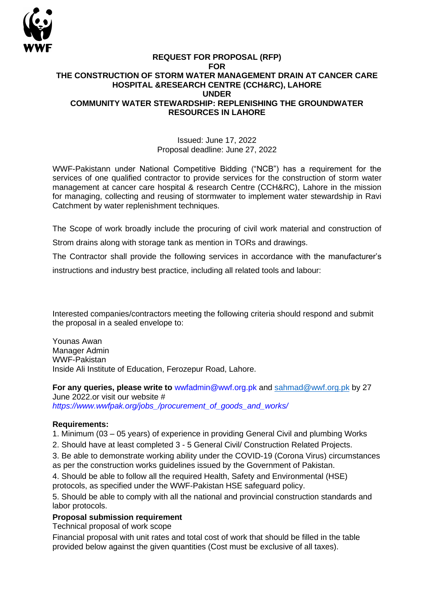

#### **REQUEST FOR PROPOSAL (RFP) FOR THE CONSTRUCTION OF STORM WATER MANAGEMENT DRAIN AT CANCER CARE HOSPITAL &RESEARCH CENTRE (CCH&RC), LAHORE UNDER COMMUNITY WATER STEWARDSHIP: REPLENISHING THE GROUNDWATER RESOURCES IN LAHORE**

#### Issued: June 17, 2022 Proposal deadline: June 27, 2022

WWF-Pakistann under National Competitive Bidding ("NCB") has a requirement for the services of one qualified contractor to provide services for the construction of storm water management at cancer care hospital & research Centre (CCH&RC), Lahore in the mission for managing, collecting and reusing of stormwater to implement water stewardship in Ravi Catchment by water replenishment techniques.

The Scope of work broadly include the procuring of civil work material and construction of Strom drains along with storage tank as mention in TORs and drawings.

The Contractor shall provide the following services in accordance with the manufacturer's

instructions and industry best practice, including all related tools and labour:

Interested companies/contractors meeting the following criteria should respond and submit the proposal in a sealed envelope to:

Younas Awan Manager Admin WWF-Pakistan Inside Ali Institute of Education, Ferozepur Road, Lahore.

**For any queries, please write to** wwfadmin@wwf.org.pk and [sahmad@wwf.org.pk](mailto:sahmad@wwf.org.pk) by 27 June 2022.or visit our website #

*https://www.wwfpak.org/jobs\_/procurement\_of\_goods\_and\_works/* 

### **Requirements:**

1. Minimum (03 – 05 years) of experience in providing General Civil and plumbing Works

2. Should have at least completed 3 - 5 General Civil/ Construction Related Projects.

3. Be able to demonstrate working ability under the COVID-19 (Corona Virus) circumstances as per the construction works guidelines issued by the Government of Pakistan.

4. Should be able to follow all the required Health, Safety and Environmental (HSE) protocols, as specified under the WWF-Pakistan HSE safeguard policy.

5. Should be able to comply with all the national and provincial construction standards and labor protocols.

### **Proposal submission requirement**

Technical proposal of work scope

Financial proposal with unit rates and total cost of work that should be filled in the table provided below against the given quantities (Cost must be exclusive of all taxes).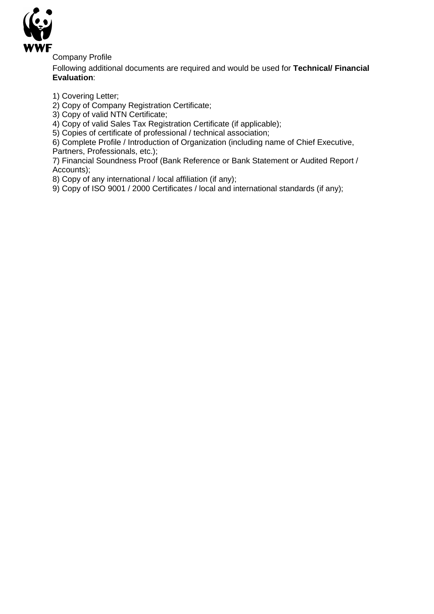

Company Profile

Following additional documents are required and would be used for **Technical/ Financial Evaluation**:

1) Covering Letter;

2) Copy of Company Registration Certificate;

3) Copy of valid NTN Certificate;

4) Copy of valid Sales Tax Registration Certificate (if applicable);

5) Copies of certificate of professional / technical association;

6) Complete Profile / Introduction of Organization (including name of Chief Executive, Partners, Professionals, etc.);

7) Financial Soundness Proof (Bank Reference or Bank Statement or Audited Report / Accounts);

8) Copy of any international / local affiliation (if any);

9) Copy of ISO 9001 / 2000 Certificates / local and international standards (if any);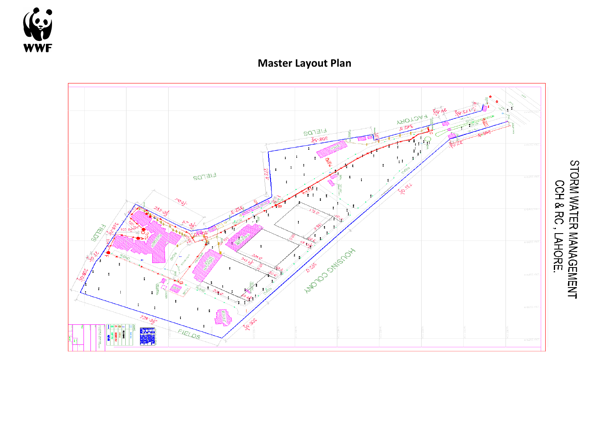

## **Master Layout Plan**

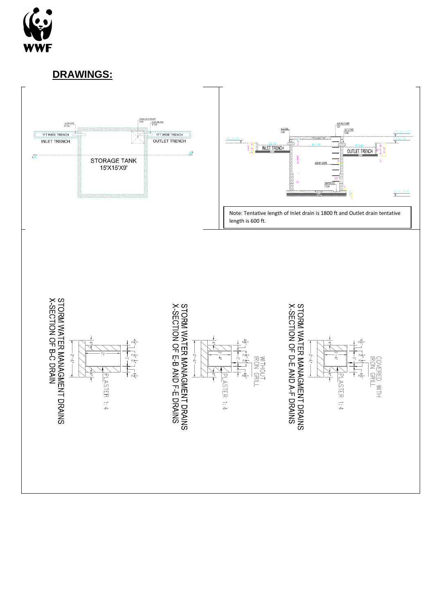

**DRAWINGS:**

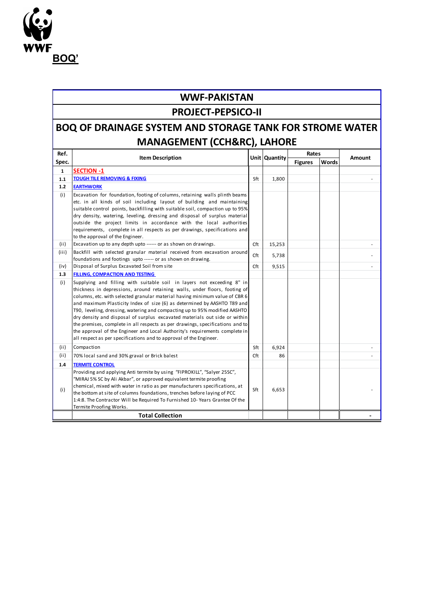

### **WWF-PAKISTAN**

### **PROJECT-PEPSICO-II**

# **BOQ OF DRAINAGE SYSTEM AND STORAGE TANK FOR STROME WATER MANAGEMENT (CCH&RC), LAHORE**

| Ref.         |                                                                                                                                                                                                                                                                                                                                                                                                                                                                                                                                                                                                                                                                                                                   |     | Unit Quantity | Rates          |       | Amount |
|--------------|-------------------------------------------------------------------------------------------------------------------------------------------------------------------------------------------------------------------------------------------------------------------------------------------------------------------------------------------------------------------------------------------------------------------------------------------------------------------------------------------------------------------------------------------------------------------------------------------------------------------------------------------------------------------------------------------------------------------|-----|---------------|----------------|-------|--------|
| Spec.        | <b>Item Description</b>                                                                                                                                                                                                                                                                                                                                                                                                                                                                                                                                                                                                                                                                                           |     |               | <b>Figures</b> | Words |        |
| $\mathbf{1}$ | <b>SECTION -1</b>                                                                                                                                                                                                                                                                                                                                                                                                                                                                                                                                                                                                                                                                                                 |     |               |                |       |        |
| $1.1$        | <b>TOUGH TILE REMOVING &amp; FIXING</b>                                                                                                                                                                                                                                                                                                                                                                                                                                                                                                                                                                                                                                                                           | Sft | 1,800         |                |       |        |
| $1.2$        | <b>EARTHWORK</b>                                                                                                                                                                                                                                                                                                                                                                                                                                                                                                                                                                                                                                                                                                  |     |               |                |       |        |
| (i)          | Excavation for foundation, footing of columns, retaining walls plinth beams<br>etc. in all kinds of soil including layout of building and maintaining<br>suitable control points, backfilling with suitable soil, compaction up to 95%<br>dry density, watering, leveling, dressing and disposal of surplus material<br>outside the project limits in accordance with the local authorities<br>requirements, complete in all respects as per drawings, specifications and<br>to the approval of the Engineer.                                                                                                                                                                                                     |     |               |                |       |        |
| (ii)         | Excavation up to any depth upto ------ or as shown on drawings.                                                                                                                                                                                                                                                                                                                                                                                                                                                                                                                                                                                                                                                   | Cft | 15,253        |                |       |        |
| (iii)        | Backfill with selected granular material received from excavation around<br>foundations and footings upto ------ or as shown on drawing.                                                                                                                                                                                                                                                                                                                                                                                                                                                                                                                                                                          | Cft | 5,738         |                |       |        |
| (iv)         | Disposal of Surplus Excavated Soil from site                                                                                                                                                                                                                                                                                                                                                                                                                                                                                                                                                                                                                                                                      | Cft | 9,515         |                |       |        |
| 1.3          | <b>FILLING, COMPACTION AND TESTING</b>                                                                                                                                                                                                                                                                                                                                                                                                                                                                                                                                                                                                                                                                            |     |               |                |       |        |
| (i)          | Supplying and filling with suitable soil in layers not exceeding 8" in<br>thickness in depressions, around retaining walls, under floors, footing of<br>columns, etc. with selected granular material having minimum value of CBR 6<br>and maximum Plasticity Index of size (6) as determined by AASHTO T89 and<br>T90, leveling, dressing, watering and compacting up to 95% modified AASHTO<br>dry density and disposal of surplus excavated materials out side or within<br>the premises, complete in all respects as per drawings, specifications and to<br>the approval of the Engineer and Local Authority's requirements complete in<br>all respect as per specifications and to approval of the Engineer. |     |               |                |       |        |
| (ii)         | Compaction                                                                                                                                                                                                                                                                                                                                                                                                                                                                                                                                                                                                                                                                                                        | Sft | 6,924         |                |       |        |
| (ii)         | 70% local sand and 30% graval or Brick balest                                                                                                                                                                                                                                                                                                                                                                                                                                                                                                                                                                                                                                                                     | Cft | 86            |                |       |        |
| 1.4          | <b>TERMITE CONTROL</b>                                                                                                                                                                                                                                                                                                                                                                                                                                                                                                                                                                                                                                                                                            |     |               |                |       |        |
| (i)          | Providing and applying Anti termite by using "FIPROKILL", "Salyer 25SC",<br>"MIRAJ 5% SC by Ali Akbar", or approved equivalent termite proofing<br>chemical, mixed with water in ratio as per manufacturers specifications, at<br>the bottom at site of columns foundations, trenches before laying of PCC<br>1:4:8. The Contractor Will be Required To Furnished 10- Years Grantee Of the<br>Termite Proofing Works.                                                                                                                                                                                                                                                                                             | Sft | 6,653         |                |       |        |
|              | <b>Total Collection</b>                                                                                                                                                                                                                                                                                                                                                                                                                                                                                                                                                                                                                                                                                           |     |               |                |       |        |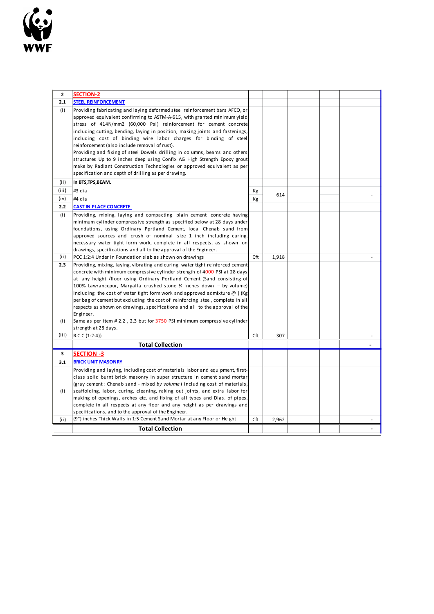

| $\overline{2}$ | <b>SECTION-2</b>                                                                                                                                            |     |       |  |  |
|----------------|-------------------------------------------------------------------------------------------------------------------------------------------------------------|-----|-------|--|--|
| 2.1            | <b>STEEL REINFORCEMENT</b>                                                                                                                                  |     |       |  |  |
| (i)            | Providing fabricating and laying deformed steel reinforcement bars AFCO, or<br>approved equivalent confirming to ASTM-A-615, with granted minimum yield     |     |       |  |  |
|                | stress of 414N/mm2 (60,000 Psi) reinforcement for cement concrete                                                                                           |     |       |  |  |
|                | including cutting, bending, laying in position, making joints and fastenings,<br>including cost of binding wire labor charges for binding of steel          |     |       |  |  |
|                | reinforcement (also include removal of rust).                                                                                                               |     |       |  |  |
|                | Providing and fixing of steel Dowels drilling in columns, beams and others                                                                                  |     |       |  |  |
|                | structures Up to 9 inches deep using Confix AG High Strength Epoxy grout                                                                                    |     |       |  |  |
|                | make by Radiant Construction Technologies or approved equivalent as per                                                                                     |     |       |  |  |
|                | specification and depth of drilling as per drawing.                                                                                                         |     |       |  |  |
| (ii)           | In BTS, TPS, BEAM.                                                                                                                                          |     |       |  |  |
| (iii)          | #3 dia                                                                                                                                                      | Кg  | 614   |  |  |
| (iv)           | #4 dia                                                                                                                                                      | Kg  |       |  |  |
| 2.2            | <b>CAST IN PLACE CONCRETE</b>                                                                                                                               |     |       |  |  |
| (i)            | Providing, mixing, laying and compacting plain cement concrete having<br>minimum cylinder compressive strength as specified below at 28 days under          |     |       |  |  |
|                | foundations, using Ordinary Pprtland Cement, local Chenab sand from                                                                                         |     |       |  |  |
|                | approved sources and crush of nominal size 1 inch including curing,                                                                                         |     |       |  |  |
|                | necessary water tight form work, complete in all respects, as shown on                                                                                      |     |       |  |  |
|                | drawings, specifications and all to the approval of the Engineer.                                                                                           |     |       |  |  |
| (ii)           | PCC 1:2:4 Under in Foundation slab as shown on drawings                                                                                                     | Cft | 1,918 |  |  |
| 2.3            | Providing, mixing, laying, vibrating and curing water tight reinforced cement<br>concrete with minimum compressive cylinder strength of 4000 PSI at 28 days |     |       |  |  |
|                | at any height /floor using Ordinary Portland Cement (Sand consisting of                                                                                     |     |       |  |  |
|                | 100% Lawrancepur, Margalla crushed stone % inches down – by volume)                                                                                         |     |       |  |  |
|                | including the cost of water tight form work and approved admixture $\omega$ () Kg                                                                           |     |       |  |  |
|                | per bag of cement but excluding the cost of reinforcing steel, complete in all                                                                              |     |       |  |  |
|                | respects as shown on drawings, specifications and all to the approval of the                                                                                |     |       |  |  |
| (i)            | Engineer.<br>Same as per item # 2.2, 2.3 but for 3750 PSI minimum compressive cylinder                                                                      |     |       |  |  |
|                | strength at 28 days.                                                                                                                                        |     |       |  |  |
| (iii)          | R.C.C (1:2:4))                                                                                                                                              | Cft | 307   |  |  |
|                | <b>Total Collection</b>                                                                                                                                     |     |       |  |  |
| 3              | <b>SECTION -3</b>                                                                                                                                           |     |       |  |  |
| 3.1            | <b>BRICK UNIT MASONRY</b>                                                                                                                                   |     |       |  |  |
|                | Providing and laying, including cost of materials labor and equipment, first-                                                                               |     |       |  |  |
|                | class solid burnt brick masonry in super structure in cement sand mortar                                                                                    |     |       |  |  |
|                | (gray cement: Chenab sand - mixed by volume) including cost of materials,                                                                                   |     |       |  |  |
| (i)            | scaffolding, labor, curing, cleaning, raking out joints, and extra labor for<br>making of openings, arches etc. and fixing of all types and Dias. of pipes, |     |       |  |  |
|                | complete in all respects at any floor and any height as per drawings and                                                                                    |     |       |  |  |
|                | specifications, and to the approval of the Engineer.                                                                                                        |     |       |  |  |
| (ii)           | (9") inches Thick Walls in 1:5 Cement Sand Mortar at any Floor or Height                                                                                    | Cft | 2,962 |  |  |
|                | <b>Total Collection</b>                                                                                                                                     |     |       |  |  |